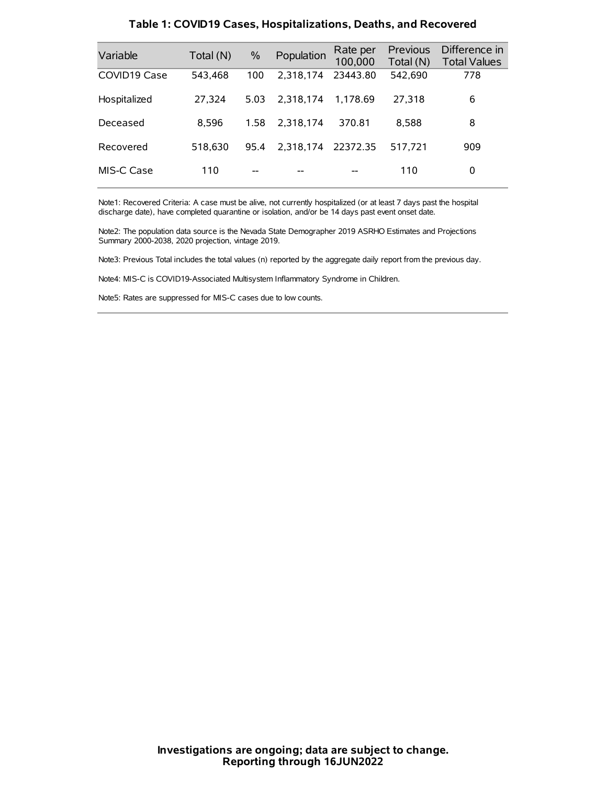| Variable     | Total (N) | $\%$ | Population         | Rate per<br>100,000 | Previous<br>Total (N) | Difference in<br><b>Total Values</b> |
|--------------|-----------|------|--------------------|---------------------|-----------------------|--------------------------------------|
| COVID19 Case | 543.468   | 100  | 2.318.174          | 23443.80            | 542,690               | 778                                  |
| Hospitalized | 27,324    | 5.03 | 2.318.174          | 1.178.69            | 27.318                | 6                                    |
| Deceased     | 8.596     | 1.58 | 2.318.174          | 370.81              | 8.588                 | 8                                    |
| Recovered    | 518.630   | 95.4 | 2,318,174 22372.35 |                     | 517.721               | 909                                  |
| MIS-C Case   | 110       | --   |                    |                     | 110                   | 0                                    |

#### **Table 1: COVID19 Cases, Hospitalizations, Deaths, and Recovered**

Note1: Recovered Criteria: A case must be alive, not currently hospitalized (or at least 7 days past the hospital discharge date), have completed quarantine or isolation, and/or be 14 days past event onset date.

Note2: The population data source is the Nevada State Demographer 2019 ASRHO Estimates and Projections Summary 2000-2038, 2020 projection, vintage 2019.

Note3: Previous Total includes the total values (n) reported by the aggregate daily report from the previous day.

Note4: MIS-C is COVID19-Associated Multisystem Inflammatory Syndrome in Children.

Note5: Rates are suppressed for MIS-C cases due to low counts.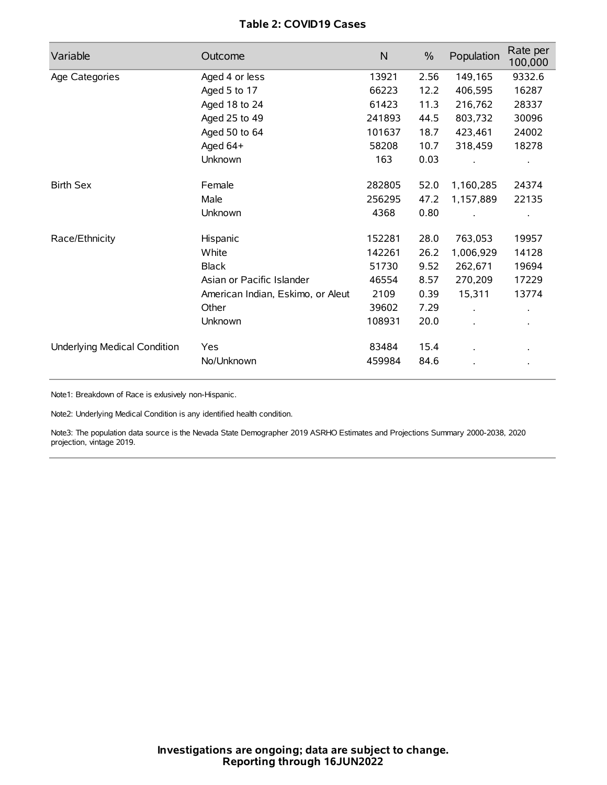# **Table 2: COVID19 Cases**

| Variable                     | Outcome                           | $\mathsf{N}$ | $\%$ | Population           | Rate per<br>100,000 |
|------------------------------|-----------------------------------|--------------|------|----------------------|---------------------|
| Age Categories               | Aged 4 or less                    | 13921        | 2.56 | 149,165              | 9332.6              |
|                              | Aged 5 to 17                      | 66223        | 12.2 | 406,595              | 16287               |
|                              | Aged 18 to 24                     | 61423        | 11.3 | 216,762              | 28337               |
|                              | Aged 25 to 49                     | 241893       | 44.5 | 803,732              | 30096               |
|                              | Aged 50 to 64                     | 101637       | 18.7 | 423,461              | 24002               |
|                              | Aged 64+                          | 58208        | 10.7 | 318,459              | 18278               |
|                              | Unknown                           | 163          | 0.03 |                      |                     |
| <b>Birth Sex</b>             | Female                            | 282805       | 52.0 | 1,160,285            | 24374               |
|                              | Male                              | 256295       | 47.2 | 1,157,889            | 22135               |
|                              | Unknown                           | 4368         | 0.80 |                      |                     |
| Race/Ethnicity               | Hispanic                          | 152281       | 28.0 | 763,053              | 19957               |
|                              | White                             | 142261       | 26.2 | 1,006,929            | 14128               |
|                              | <b>Black</b>                      | 51730        | 9.52 | 262,671              | 19694               |
|                              | Asian or Pacific Islander         | 46554        | 8.57 | 270,209              | 17229               |
|                              | American Indian, Eskimo, or Aleut | 2109         | 0.39 | 15,311               | 13774               |
|                              | Other                             | 39602        | 7.29 | $\ddot{\phantom{0}}$ |                     |
|                              | Unknown                           | 108931       | 20.0 | ÷.                   |                     |
| Underlying Medical Condition | Yes                               | 83484        | 15.4 |                      |                     |
|                              | No/Unknown                        | 459984       | 84.6 |                      |                     |

Note1: Breakdown of Race is exlusively non-Hispanic.

Note2: Underlying Medical Condition is any identified health condition.

Note3: The population data source is the Nevada State Demographer 2019 ASRHO Estimates and Projections Summary 2000-2038, 2020 projection, vintage 2019.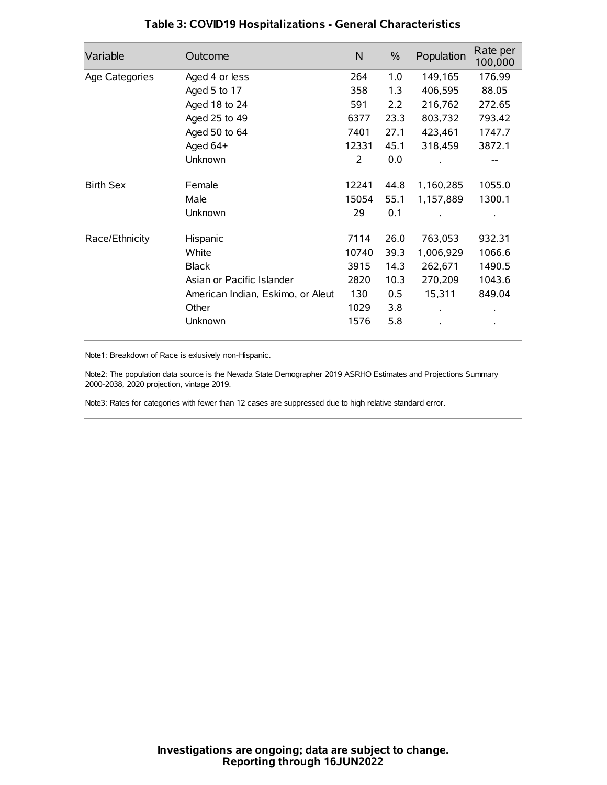| Variable         | Outcome                           | $\mathsf{N}$ | $\%$ | Population | Rate per<br>100,000 |
|------------------|-----------------------------------|--------------|------|------------|---------------------|
| Age Categories   | Aged 4 or less                    | 264          | 1.0  | 149,165    | 176.99              |
|                  | Aged 5 to 17                      | 358          | 1.3  | 406,595    | 88.05               |
|                  | Aged 18 to 24                     | 591          | 2.2  | 216,762    | 272.65              |
|                  | Aged 25 to 49                     | 6377         | 23.3 | 803,732    | 793.42              |
|                  | Aged 50 to 64                     | 7401         | 27.1 | 423,461    | 1747.7              |
|                  | Aged 64+                          | 12331        | 45.1 | 318,459    | 3872.1              |
|                  | Unknown                           | 2            | 0.0  |            |                     |
| <b>Birth Sex</b> | Female                            | 12241        | 44.8 | 1,160,285  | 1055.0              |
|                  | Male                              | 15054        | 55.1 | 1,157,889  | 1300.1              |
|                  | Unknown                           | 29           | 0.1  |            |                     |
| Race/Ethnicity   | Hispanic                          | 7114         | 26.0 | 763,053    | 932.31              |
|                  | White                             | 10740        | 39.3 | 1,006,929  | 1066.6              |
|                  | <b>Black</b>                      | 3915         | 14.3 | 262,671    | 1490.5              |
|                  | Asian or Pacific Islander         | 2820         | 10.3 | 270,209    | 1043.6              |
|                  | American Indian, Eskimo, or Aleut | 130          | 0.5  | 15,311     | 849.04              |
|                  | Other                             | 1029         | 3.8  |            |                     |
|                  | Unknown                           | 1576         | 5.8  |            |                     |

# **Table 3: COVID19 Hospitalizations - General Characteristics**

Note1: Breakdown of Race is exlusively non-Hispanic.

Note2: The population data source is the Nevada State Demographer 2019 ASRHO Estimates and Projections Summary 2000-2038, 2020 projection, vintage 2019.

Note3: Rates for categories with fewer than 12 cases are suppressed due to high relative standard error.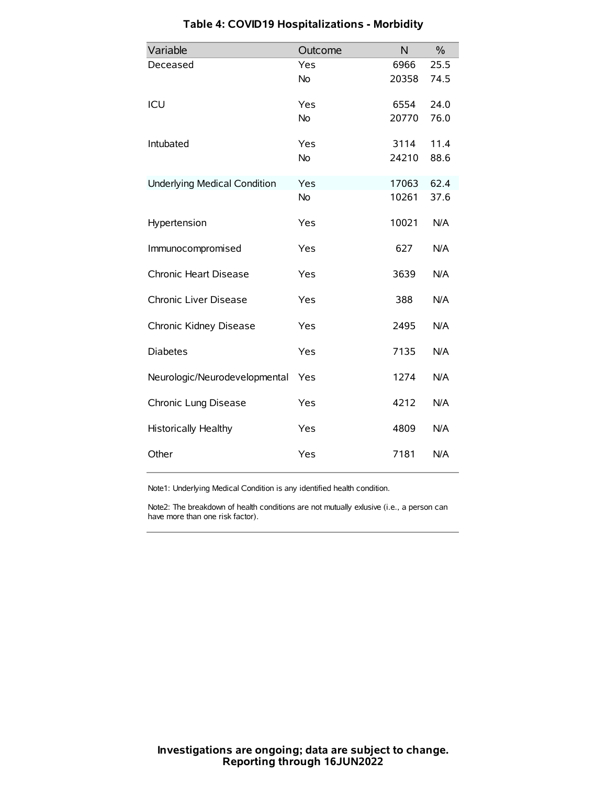| Variable                            | Outcome   | N     | $\frac{0}{0}$ |
|-------------------------------------|-----------|-------|---------------|
| Deceased                            | Yes       | 6966  | 25.5          |
|                                     | No        | 20358 | 74.5          |
| ICU                                 | Yes       | 6554  | 24.0          |
|                                     | <b>No</b> | 20770 | 76.0          |
| Intubated                           | Yes       | 3114  | 11.4          |
|                                     | No        | 24210 | 88.6          |
| <b>Underlying Medical Condition</b> | Yes       | 17063 | 62.4          |
|                                     | <b>No</b> | 10261 | 37.6          |
| Hypertension                        | Yes       | 10021 | N/A           |
| Immunocompromised                   | Yes       | 627   | N/A           |
| Chronic Heart Disease               | Yes       | 3639  | N/A           |
| Chronic Liver Disease               | Yes       | 388   | N/A           |
| Chronic Kidney Disease              | Yes       | 2495  | N/A           |
| <b>Diabetes</b>                     | Yes       | 7135  | N/A           |
| Neurologic/Neurodevelopmental       | Yes       | 1274  | N/A           |
| Chronic Lung Disease                | Yes       | 4212  | N/A           |
| Historically Healthy                | Yes       | 4809  | N/A           |
| Other                               | Yes       | 7181  | N/A           |

# **Table 4: COVID19 Hospitalizations - Morbidity**

Note1: Underlying Medical Condition is any identified health condition.

Note2: The breakdown of health conditions are not mutually exlusive (i.e., a person can have more than one risk factor).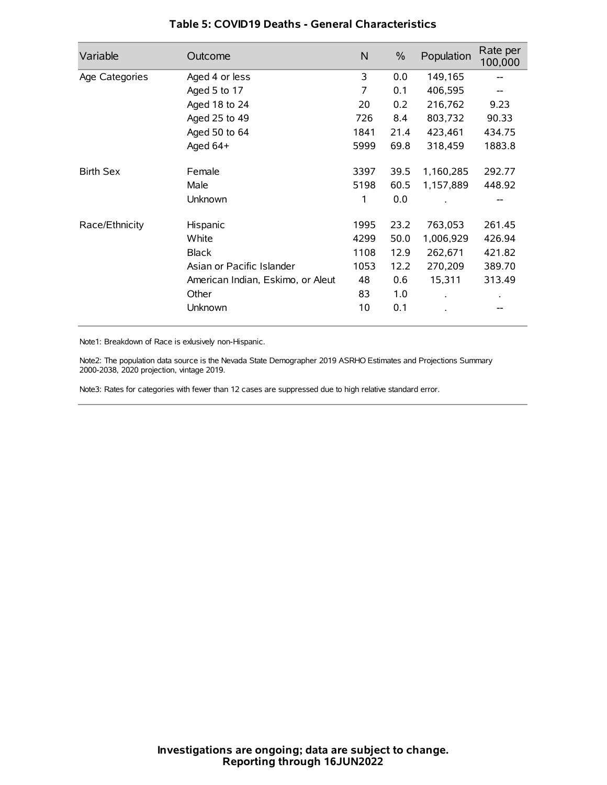| Variable         | Outcome                           | N    | $\frac{0}{0}$ | Population | Rate per<br>100,000 |
|------------------|-----------------------------------|------|---------------|------------|---------------------|
| Age Categories   | Aged 4 or less                    | 3    | 0.0           | 149,165    |                     |
|                  | Aged 5 to 17                      | 7    | 0.1           | 406,595    |                     |
|                  | Aged 18 to 24                     | 20   | 0.2           | 216,762    | 9.23                |
|                  | Aged 25 to 49                     | 726  | 8.4           | 803,732    | 90.33               |
|                  | Aged 50 to 64                     | 1841 | 21.4          | 423,461    | 434.75              |
|                  | Aged $64+$                        | 5999 | 69.8          | 318,459    | 1883.8              |
| <b>Birth Sex</b> | Female                            | 3397 | 39.5          | 1,160,285  | 292.77              |
|                  | Male                              | 5198 | 60.5          | 1,157,889  | 448.92              |
|                  | Unknown                           | 1    | 0.0           |            | --                  |
| Race/Ethnicity   | Hispanic                          | 1995 | 23.2          | 763,053    | 261.45              |
|                  | White                             | 4299 | 50.0          | 1,006,929  | 426.94              |
|                  | <b>Black</b>                      | 1108 | 12.9          | 262,671    | 421.82              |
|                  | Asian or Pacific Islander         | 1053 | 12.2          | 270,209    | 389.70              |
|                  | American Indian, Eskimo, or Aleut | 48   | 0.6           | 15,311     | 313.49              |
|                  | Other                             | 83   | 1.0           |            |                     |
|                  | Unknown                           | 10   | 0.1           |            |                     |

## **Table 5: COVID19 Deaths - General Characteristics**

Note1: Breakdown of Race is exlusively non-Hispanic.

Note2: The population data source is the Nevada State Demographer 2019 ASRHO Estimates and Projections Summary 2000-2038, 2020 projection, vintage 2019.

Note3: Rates for categories with fewer than 12 cases are suppressed due to high relative standard error.